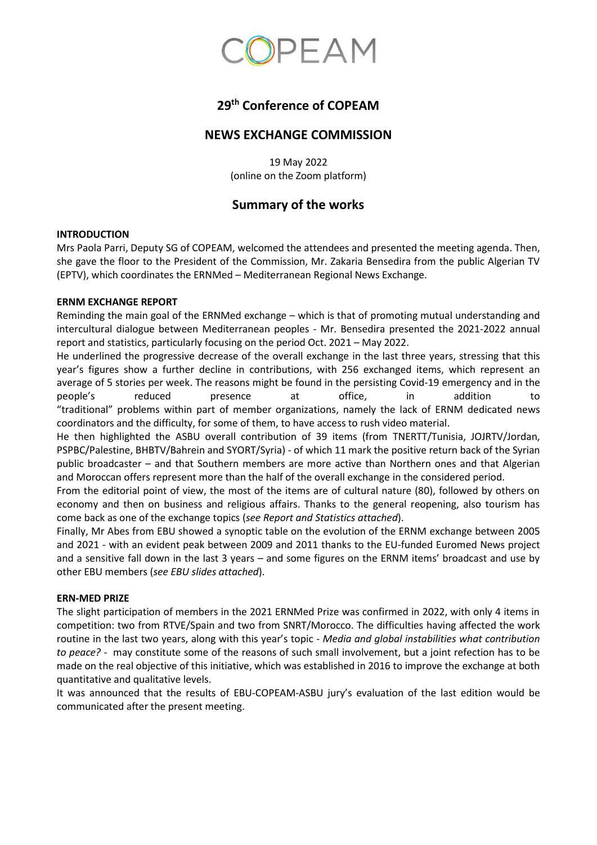

# **29 th Conference of COPEAM**

### **NEWS EXCHANGE COMMISSION**

19 May 2022 (online on the Zoom platform)

## **Summary of the works**

#### **INTRODUCTION**

Mrs Paola Parri, Deputy SG of COPEAM, welcomed the attendees and presented the meeting agenda. Then, she gave the floor to the President of the Commission, Mr. Zakaria Bensedira from the public Algerian TV (EPTV), which coordinates the ERNMed – Mediterranean Regional News Exchange.

#### **ERNM EXCHANGE REPORT**

Reminding the main goal of the ERNMed exchange – which is that of promoting mutual understanding and intercultural dialogue between Mediterranean peoples - Mr. Bensedira presented the 2021-2022 annual report and statistics, particularly focusing on the period Oct. 2021 – May 2022.

He underlined the progressive decrease of the overall exchange in the last three years, stressing that this year's figures show a further decline in contributions, with 256 exchanged items, which represent an average of 5 stories per week. The reasons might be found in the persisting Covid-19 emergency and in the people's reduced presence at office, in addition to "traditional" problems within part of member organizations, namely the lack of ERNM dedicated news coordinators and the difficulty, for some of them, to have access to rush video material.

He then highlighted the ASBU overall contribution of 39 items (from TNERTT/Tunisia, JOJRTV/Jordan, PSPBC/Palestine, BHBTV/Bahrein and SYORT/Syria) - of which 11 mark the positive return back of the Syrian public broadcaster – and that Southern members are more active than Northern ones and that Algerian and Moroccan offers represent more than the half of the overall exchange in the considered period.

From the editorial point of view, the most of the items are of cultural nature (80), followed by others on economy and then on business and religious affairs. Thanks to the general reopening, also tourism has come back as one of the exchange topics (*see Report and Statistics attached*).

Finally, Mr Abes from EBU showed a synoptic table on the evolution of the ERNM exchange between 2005 and 2021 - with an evident peak between 2009 and 2011 thanks to the EU-funded Euromed News project and a sensitive fall down in the last 3 years – and some figures on the ERNM items' broadcast and use by other EBU members (*see EBU slides attached*).

#### **ERN-MED PRIZE**

The slight participation of members in the 2021 ERNMed Prize was confirmed in 2022, with only 4 items in competition: two from RTVE/Spain and two from SNRT/Morocco. The difficulties having affected the work routine in the last two years, along with this year's topic - *Media and global instabilities what contribution to peace?* - may constitute some of the reasons of such small involvement, but a joint refection has to be made on the real objective of this initiative, which was established in 2016 to improve the exchange at both quantitative and qualitative levels.

It was announced that the results of EBU-COPEAM-ASBU jury's evaluation of the last edition would be communicated after the present meeting.